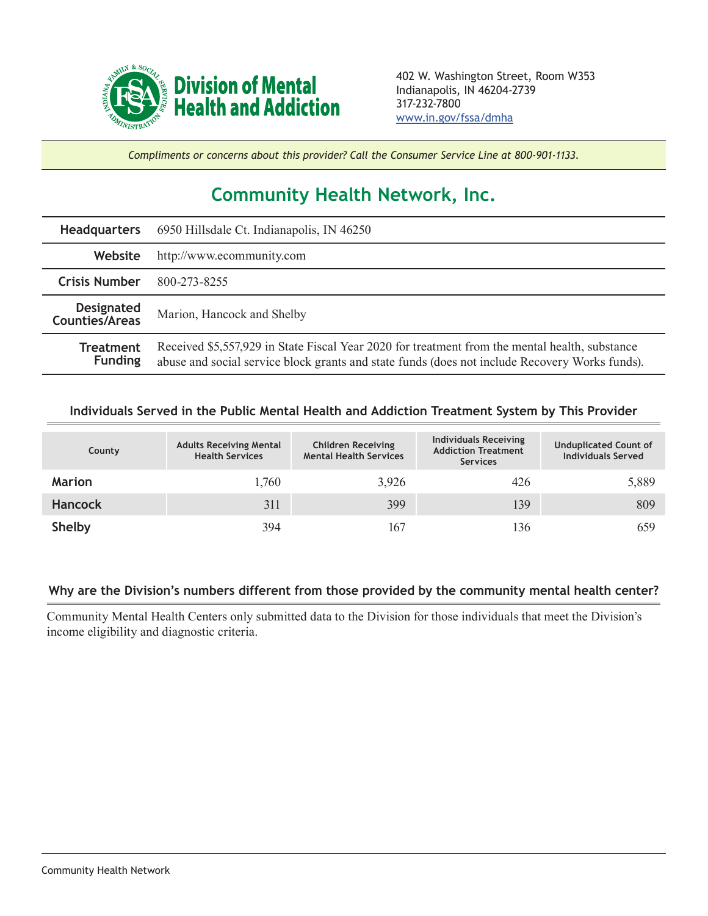

*Compliments or concerns about this provider? Call the Consumer Service Line at 800-901-1133.*

## **Community Health Network, Inc.**

| <b>Headquarters</b>                 | 6950 Hillsdale Ct. Indianapolis, IN 46250                                                                                                                                                        |  |  |  |
|-------------------------------------|--------------------------------------------------------------------------------------------------------------------------------------------------------------------------------------------------|--|--|--|
| Website                             | http://www.ecommunity.com                                                                                                                                                                        |  |  |  |
| <b>Crisis Number</b>                | 800-273-8255                                                                                                                                                                                     |  |  |  |
| <b>Designated</b><br>Counties/Areas | Marion, Hancock and Shelby                                                                                                                                                                       |  |  |  |
| <b>Treatment</b><br><b>Funding</b>  | Received \$5,557,929 in State Fiscal Year 2020 for treatment from the mental health, substance<br>abuse and social service block grants and state funds (does not include Recovery Works funds). |  |  |  |

## **Individuals Served in the Public Mental Health and Addiction Treatment System by This Provider**

| County         | <b>Adults Receiving Mental</b><br><b>Health Services</b> | <b>Children Receiving</b><br><b>Mental Health Services</b> | <b>Individuals Receiving</b><br><b>Addiction Treatment</b><br><b>Services</b> | <b>Unduplicated Count of</b><br><b>Individuals Served</b> |
|----------------|----------------------------------------------------------|------------------------------------------------------------|-------------------------------------------------------------------------------|-----------------------------------------------------------|
| <b>Marion</b>  | 1,760                                                    | 3,926                                                      | 426                                                                           | 5,889                                                     |
| <b>Hancock</b> | 311                                                      | 399                                                        | 139                                                                           | 809                                                       |
| <b>Shelby</b>  | 394                                                      | 167                                                        | 136                                                                           | 659                                                       |

## **Why are the Division's numbers different from those provided by the community mental health center?**

Community Mental Health Centers only submitted data to the Division for those individuals that meet the Division's income eligibility and diagnostic criteria.